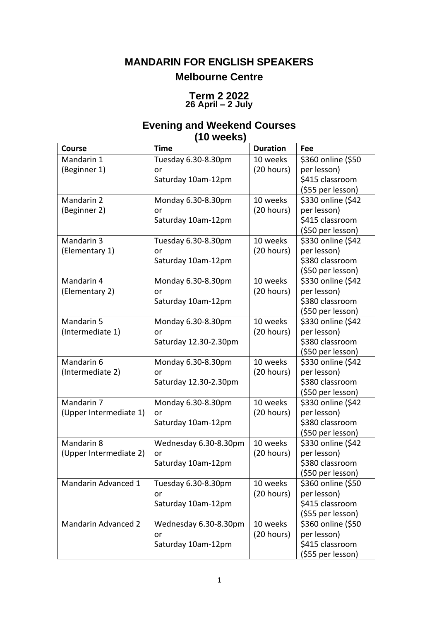# **MANDARIN FOR ENGLISH SPEAKERS Melbourne Centre**

### **Term 2 2022 26 April – 2 July**

# **Evening and Weekend Courses (10 weeks)**

| Course                     | <b>Time</b>           | <b>Duration</b> | Fee                |
|----------------------------|-----------------------|-----------------|--------------------|
| Mandarin 1                 | Tuesday 6.30-8.30pm   | 10 weeks        | \$360 online (\$50 |
| (Beginner 1)               | or                    | (20 hours)      | per lesson)        |
|                            | Saturday 10am-12pm    |                 | \$415 classroom    |
|                            |                       |                 | (\$55 per lesson)  |
| Mandarin 2                 | Monday 6.30-8.30pm    | 10 weeks        | \$330 online (\$42 |
| (Beginner 2)               | or                    | (20 hours)      | per lesson)        |
|                            | Saturday 10am-12pm    |                 | \$415 classroom    |
|                            |                       |                 | (\$50 per lesson)  |
| Mandarin 3                 | Tuesday 6.30-8.30pm   | 10 weeks        | \$330 online (\$42 |
| (Elementary 1)             | or                    | (20 hours)      | per lesson)        |
|                            | Saturday 10am-12pm    |                 | \$380 classroom    |
|                            |                       |                 | (\$50 per lesson)  |
| Mandarin 4                 | Monday 6.30-8.30pm    | 10 weeks        | \$330 online (\$42 |
| (Elementary 2)             | or                    | (20 hours)      | per lesson)        |
|                            | Saturday 10am-12pm    |                 | \$380 classroom    |
|                            |                       |                 | (\$50 per lesson)  |
| Mandarin 5                 | Monday 6.30-8.30pm    | 10 weeks        | \$330 online (\$42 |
| (Intermediate 1)           | or                    | (20 hours)      | per lesson)        |
|                            | Saturday 12.30-2.30pm |                 | \$380 classroom    |
|                            |                       |                 | (\$50 per lesson)  |
| Mandarin 6                 | Monday 6.30-8.30pm    | 10 weeks        | \$330 online (\$42 |
| (Intermediate 2)           | or                    | (20 hours)      | per lesson)        |
|                            | Saturday 12.30-2.30pm |                 | \$380 classroom    |
|                            |                       |                 | (\$50 per lesson)  |
| Mandarin 7                 | Monday 6.30-8.30pm    | 10 weeks        | \$330 online (\$42 |
| (Upper Intermediate 1)     | or                    | (20 hours)      | per lesson)        |
|                            | Saturday 10am-12pm    |                 | \$380 classroom    |
|                            |                       |                 | (\$50 per lesson)  |
| Mandarin 8                 | Wednesday 6.30-8.30pm | 10 weeks        | \$330 online (\$42 |
| (Upper Intermediate 2)     | or                    | (20 hours)      | per lesson)        |
|                            | Saturday 10am-12pm    |                 | \$380 classroom    |
|                            |                       |                 | (\$50 per lesson)  |
| Mandarin Advanced 1        | Tuesday 6.30-8.30pm   | 10 weeks        | \$360 online (\$50 |
|                            | or                    | (20 hours)      | per lesson)        |
|                            | Saturday 10am-12pm    |                 | \$415 classroom    |
|                            |                       |                 | (\$55 per lesson)  |
| <b>Mandarin Advanced 2</b> | Wednesday 6.30-8.30pm | 10 weeks        | \$360 online (\$50 |
|                            | or                    | (20 hours)      | per lesson)        |
|                            | Saturday 10am-12pm    |                 | \$415 classroom    |
|                            |                       |                 | (\$55 per lesson)  |